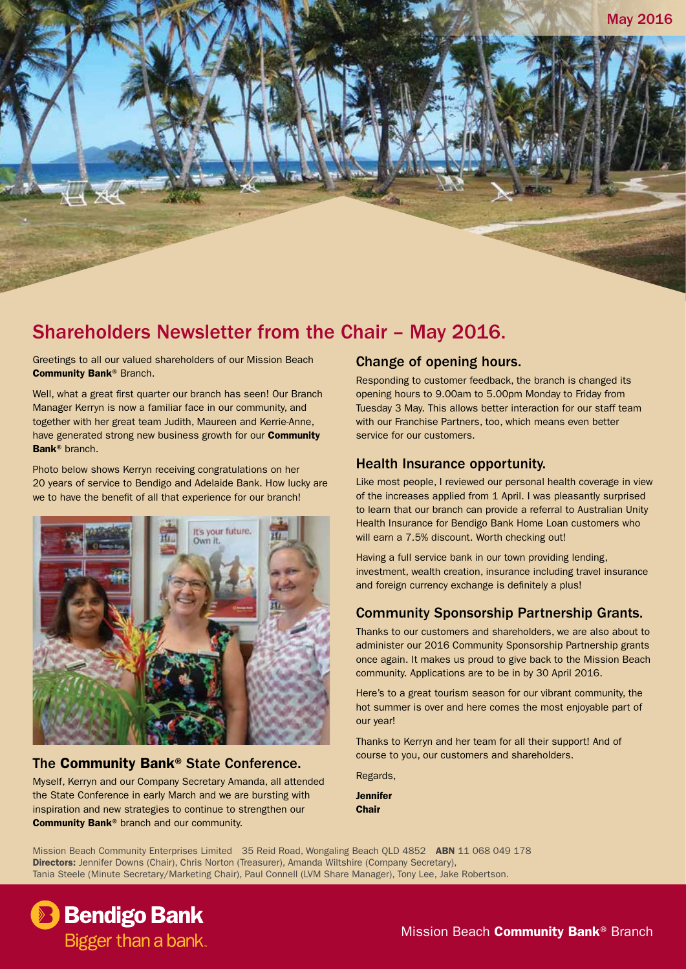# Shareholders Newsletter from the Chair – May 2016.

Greetings to all our valued shareholders of our Mission Beach Community Bank® Branch.

Well, what a great first quarter our branch has seen! Our Branch Manager Kerryn is now a familiar face in our community, and together with her great team Judith, Maureen and Kerrie-Anne, have generated strong new business growth for our **Community** Bank® branch.

Photo below shows Kerryn receiving congratulations on her 20 years of service to Bendigo and Adelaide Bank. How lucky are we to have the benefit of all that experience for our branch!



## The Community Bank® State Conference.

Myself, Kerryn and our Company Secretary Amanda, all attended the State Conference in early March and we are bursting with inspiration and new strategies to continue to strengthen our Community Bank® branch and our community.

## Change of opening hours.

Responding to customer feedback, the branch is changed its opening hours to 9.00am to 5.00pm Monday to Friday from Tuesday 3 May. This allows better interaction for our staff team with our Franchise Partners, too, which means even better service for our customers.

### Health Insurance opportunity.

Like most people, I reviewed our personal health coverage in view of the increases applied from 1 April. I was pleasantly surprised to learn that our branch can provide a referral to Australian Unity Health Insurance for Bendigo Bank Home Loan customers who will earn a 7.5% discount. Worth checking out!

Having a full service bank in our town providing lending, investment, wealth creation, insurance including travel insurance and foreign currency exchange is definitely a plus!

## Community Sponsorship Partnership Grants.

Thanks to our customers and shareholders, we are also about to administer our 2016 Community Sponsorship Partnership grants once again. It makes us proud to give back to the Mission Beach community. Applications are to be in by 30 April 2016.

Here's to a great tourism season for our vibrant community, the hot summer is over and here comes the most enjoyable part of our year!

Thanks to Kerryn and her team for all their support! And of course to you, our customers and shareholders.

Regards,

Jennifer Chair

Mission Beach Community Enterprises Limited 35 Reid Road, Wongaling Beach OLD 4852 ABN 11 068 049 178 Directors: Jennifer Downs (Chair), Chris Norton (Treasurer), Amanda Wiltshire (Company Secretary), Tania Steele (Minute Secretary/Marketing Chair), Paul Connell (LVM Share Manager), Tony Lee, Jake Robertson.